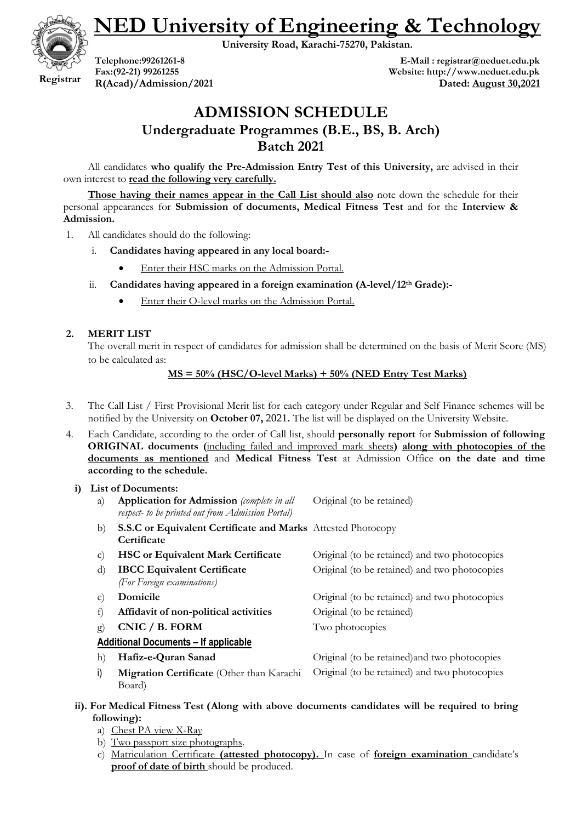**NED University of Engineering & Technology**

**University Road, Karachi-75270, Pakistan.**



**Telephone:99261261-8 Fax:(92-21) 99261255 R(Acad)/Admission/2021**

**E-Mail : registrar@neduet.edu.pk Website: http://www.neduet.edu.pk Dated: August 30,2021**

# **ADMISSION SCHEDULE**

**Undergraduate Programmes (B.E., BS, B. Arch)**

**Batch 2021**

All candidates **who qualify the Pre-Admission Entry Test of this University,** are advised in their own interest to **read the following very carefully.** 

**Those having their names appear in the Call List should also** note down the schedule for their personal appearances for **Submission of documents, Medical Fitness Test** and for the **Interview & Admission.**

- 1. All candidates should do the following:
	- i. **Candidates having appeared in any local board:-**
		- Enter their HSC marks on the Admission Portal.
	- ii. **Candidates having appeared in a foreign examination (A-level/12th Grade):-**
		- Enter their O-level marks on the Admission Portal.

# **2. MERIT LIST**

The overall merit in respect of candidates for admission shall be determined on the basis of Merit Score (MS) to be calculated as:

# **MS = 50% (HSC/O-level Marks) + 50% (NED Entry Test Marks)**

- 3. The Call List / First Provisional Merit list for each category under Regular and Self Finance schemes will be notified by the University on **October 07,** 2021**.** The list will be displayed on the University Website.
- 4. Each Candidate, according to the order of Call list, should **personally report** for **Submission of following ORIGINAL documents (**including failed and improved mark sheets**) along with photocopies of the documents as mentioned** and **Medical Fitness Test** at Admission Office **on the date and time according to the schedule.**

# **i) List of Documents:**

|              | ым от росинств.                                                                                        |                                               |
|--------------|--------------------------------------------------------------------------------------------------------|-----------------------------------------------|
| a)           | <b>Application for Admission</b> (complete in all<br>respect- to be printed out from Admission Portal) | Original (to be retained)                     |
| b)           | S.S.C or Equivalent Certificate and Marks Attested Photocopy<br>Certificate                            |                                               |
| $\mathbf{C}$ | <b>HSC or Equivalent Mark Certificate</b>                                                              | Original (to be retained) and two photocopies |
| d)           | <b>IBCC Equivalent Certificate</b><br>(For Foreign examinations)                                       | Original (to be retained) and two photocopies |
| e)           | Domicile                                                                                               | Original (to be retained) and two photocopies |
| $\pm$        | Affidavit of non-political activities                                                                  | Original (to be retained)                     |
| $\mathbf{g}$ | CNIC / B. FORM                                                                                         | Two photocopies                               |
|              | <b>Additional Documents - If applicable</b>                                                            |                                               |
| h)           | Hafiz-e-Quran Sanad                                                                                    | Original (to be retained) and two photocopies |
| i)           | Migration Certificate (Other than Karachi<br>Board)                                                    | Original (to be retained) and two photocopies |

#### **ii). For Medical Fitness Test (Along with above documents candidates will be required to bring following):**

- a) Chest PA view X-Ray
- b) Two passport size photographs.
- c) Matriculation Certificate **(attested photocopy).** In case of **foreign examination** candidate's **proof of date of birth** should be produced.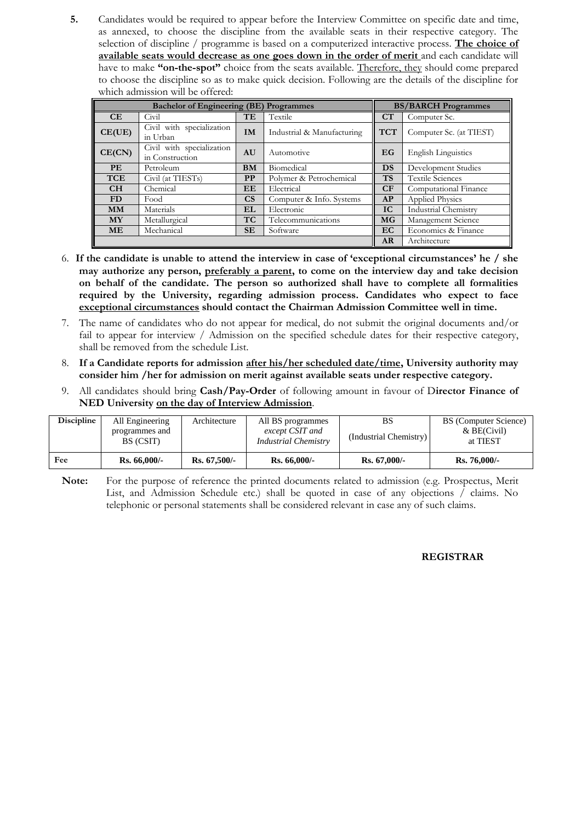**5.** Candidates would be required to appear before the Interview Committee on specific date and time, as annexed, to choose the discipline from the available seats in their respective category. The selection of discipline / programme is based on a computerized interactive process. **The choice of available seats would decrease as one goes down in the order of merit** and each candidate will have to make **"on-the-spot"** choice from the seats available. Therefore, they should come prepared to choose the discipline so as to make quick decision. Following are the details of the discipline for which admission will be offered:

|            | <b>Bachelor of Engineering (BE) Programmes</b> |                        |                            |            | <b>BS/BARCH Programmes</b> |
|------------|------------------------------------------------|------------------------|----------------------------|------------|----------------------------|
| CE         | Civil                                          | TE                     | Textile                    | CT         | Computer Sc.               |
| CE(UE)     | Civil with specialization<br>in Urban          | IM                     | Industrial & Manufacturing | <b>TCT</b> | Computer Sc. (at TIEST)    |
| CE(CN)     | Civil with specialization<br>in Construction   | AU                     | Automotive                 | EG         | <b>English Linguistics</b> |
| <b>PE</b>  | Petroleum                                      | <b>BM</b>              | Biomedical                 | DS         | Development Studies        |
| <b>TCE</b> | Civil (at TIESTs)                              | <b>PP</b>              | Polymer & Petrochemical    | <b>TS</b>  | <b>Textile Sciences</b>    |
| CH         | Chemical                                       | EE                     | Electrical                 | CF         | Computational Finance      |
| FD         | Food                                           | $\overline{\text{CS}}$ | Computer & Info. Systems   | AP         | <b>Applied Physics</b>     |
| <b>MM</b>  | Materials                                      | <b>EL</b>              | Electronic                 | IC         | Industrial Chemistry       |
| <b>MY</b>  | Metallurgical                                  | <b>TC</b>              | Telecommunications         | <b>MG</b>  | Management Science         |
| <b>ME</b>  | Mechanical                                     | <b>SE</b>              | Software                   | EC         | Economics & Finance        |
|            |                                                |                        |                            | AR         | Architecture               |

- 6. **If the candidate is unable to attend the interview in case of "exceptional circumstances" he / she may authorize any person, preferably a parent, to come on the interview day and take decision on behalf of the candidate. The person so authorized shall have to complete all formalities required by the University, regarding admission process. Candidates who expect to face exceptional circumstances should contact the Chairman Admission Committee well in time.**
- 7. The name of candidates who do not appear for medical, do not submit the original documents and/or fail to appear for interview / Admission on the specified schedule dates for their respective category, shall be removed from the schedule List.
- 8. **If a Candidate reports for admission after his/her scheduled date/time, University authority may consider him /her for admission on merit against available seats under respective category.**
- 9. All candidates should bring **Cash/Pay-Order** of following amount in favour of D**irector Finance of NED University on the day of Interview Admission**.

| Discipline | All Engineering<br>programmes and<br>BS (CSIT) | Architecture   | All BS programmes<br>except CSIT and<br><i>Industrial Chemistry</i> | BS<br>(Industrial Chemistry) | BS (Computer Science)<br>$&\text{BE(Civil)}$<br>at TIEST |
|------------|------------------------------------------------|----------------|---------------------------------------------------------------------|------------------------------|----------------------------------------------------------|
| Fee        | $Rs. 66,000/-$                                 | $Rs. 67.500/-$ | $Rs. 66,000/-$                                                      | $Rs. 67,000/-$               | $Rs.76,000/-$                                            |

**Note:** For the purpose of reference the printed documents related to admission (e.g. Prospectus, Merit List, and Admission Schedule etc.) shall be quoted in case of any objections / claims. No telephonic or personal statements shall be considered relevant in case any of such claims.

#### **REGISTRAR**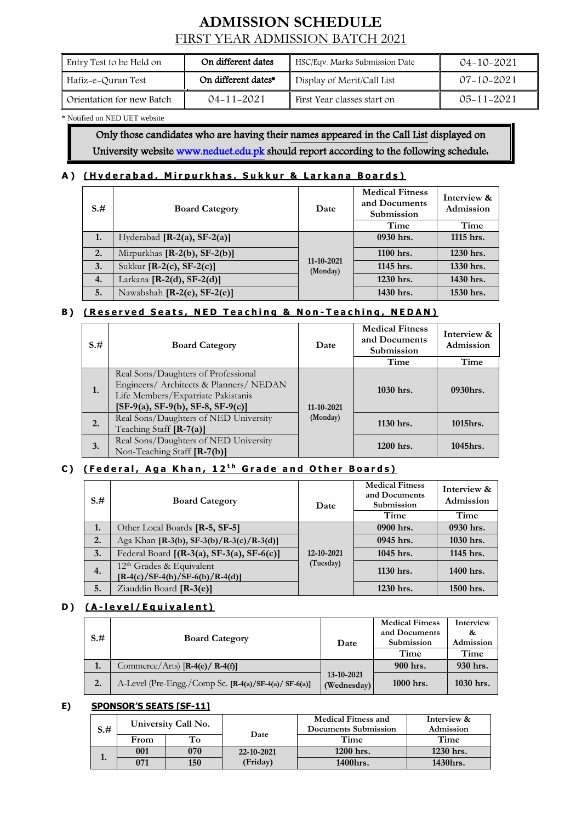# **ADMISSION SCHEDULE** FIRST YEAR ADMISSION BATCH 2021

| Entry Test to be Held on  | On different dates              | HSC/Eqv. Marks Submission Date | $04 - 10 - 2021$ |
|---------------------------|---------------------------------|--------------------------------|------------------|
| Hafiz–e–Quran Test        | On different dates <sup>•</sup> | Display of Merit/Call List     | $07 - 10 - 2021$ |
| Orientation for new Batch | 04-11-2021                      | First Year classes start on    | $05 - 11 - 2021$ |

#### \* Notified on NED UET website

Only those candidates who are having their names appeared in the Call List displayed on University website [www.neduet.edu.pk](http://www.neduet.edu.pk/) should report according to the following schedule.

# A) (Hyderabad, Mirpurkhas, Sukkur & Larkana Boards)

| $S+$ | <b>Board Category</b>          | Date                   | <b>Medical Fitness</b><br>and Documents<br>Submission | Interview &<br>Admission |
|------|--------------------------------|------------------------|-------------------------------------------------------|--------------------------|
|      |                                |                        | Time                                                  | Time                     |
| 1.   | Hyderabad $[R-2(a), SF-2(a)]$  |                        | 0930 hrs.                                             | 1115 hrs.                |
| 2.   | Mirpurkhas $[R-2(b), SF-2(b)]$ |                        | 1100 hrs.                                             | 1230 hrs.                |
| 3.   | Sukkur $[R-2(c), SF-2(c)]$     | 11-10-2021<br>(Monday) | 1145 hrs.                                             | 1330 hrs.                |
| 4.   | Larkana $[R-2(d), SF-2(d)]$    |                        | 1230 hrs.                                             | 1430 hrs.                |
| 5.   | Nawabshah $[R-2(e), SF-2(e)]$  |                        | 1430 hrs.                                             | 1530 hrs.                |

# **B**) (Reserved Seats, NED Teaching & Non-Teaching, NEDAN)

| $S, \#$ | <b>Board Category</b>                                                                                                                                       | Date       | <b>Medical Fitness</b><br>and Documents<br>Submission | Interview &<br>Admission |
|---------|-------------------------------------------------------------------------------------------------------------------------------------------------------------|------------|-------------------------------------------------------|--------------------------|
|         |                                                                                                                                                             |            | Time                                                  | Time                     |
| 1.      | Real Sons/Daughters of Professional<br>Engineers/ Architects & Planners/ NEDAN<br>Life Members/Expatriate Pakistanis<br>$[SF-9(a), SF-9(b), SF-8, SF-9(c)]$ | 11-10-2021 | $1030$ hrs.                                           | 0930hrs.                 |
| 2.      | Real Sons/Daughters of NED University<br>Teaching Staff [R-7(a)]                                                                                            | (Monday)   | $1130$ hrs.                                           | $1015$ hrs.              |
| 3.      | Real Sons/Daughters of NED University<br>Non-Teaching Staff [ <b>R-7(b)</b> ]                                                                               |            | $1200$ hrs.                                           | $1045$ hrs.              |

# **C**) (Federal, Aga Khan, 12<sup>th</sup> Grade and Other Boards)

| $S+$ | <b>Board Category</b>                                                     | Date       | <b>Medical Fitness</b><br>and Documents<br>Submission | Interview &<br>Admission |
|------|---------------------------------------------------------------------------|------------|-------------------------------------------------------|--------------------------|
|      |                                                                           |            | Time                                                  | Time                     |
| 1.   | Other Local Boards [R-5, SF-5]                                            |            | 0900 hrs.                                             | 0930 hrs.                |
| 2.   | Aga Khan [R-3(b), SF-3(b)/R-3(c)/R-3(d)]                                  |            | 0945 hrs.                                             | 1030 hrs.                |
| 3.   | Federal Board [(R-3(a), SF-3(a), SF-6(c)]                                 | 12-10-2021 | 1045 hrs.                                             | 1145 hrs.                |
| 4.   | 12 <sup>th</sup> Grades & Equivalent<br>$[R-4(c)/SF-4(b)/SF-6(b)/R-4(d)]$ | (Tuesday)  | 1130 hrs.                                             | 1400 hrs.                |
| 5.   | Ziauddin Board [R-3(e)]                                                   |            | 1230 hrs.                                             | 1500 hrs.                |

#### **D**) (A-level/Equivalent)

| $S+$ | <b>Board Category</b>                                 | Date                      | <b>Medical Fitness</b><br>and Documents<br>Submission<br>Time | Interview<br>&<br>Admission<br>Time |
|------|-------------------------------------------------------|---------------------------|---------------------------------------------------------------|-------------------------------------|
| 1.   | Commerce/Arts) $[R-4(e)/R-4(f)]$                      |                           | 900 hrs.                                                      | 930 hrs.                            |
|      | A-Level (Pre-Engg./Comp Sc. [R-4(a)/SF-4(a)/ SF-6(a)] | 13-10-2021<br>(Wednesday) | 1000 hrs.                                                     | 1030 hrs.                           |

#### **E) SPONSOR'S SEATS [SF-11]**

| $S+$ |      | University Call No. |            | <b>Medical Fitness and</b><br>Documents Submission | Interview &<br>Admission |  |
|------|------|---------------------|------------|----------------------------------------------------|--------------------------|--|
|      | From |                     | Date       | Time                                               | Time                     |  |
|      | 001  | 070                 | 22-10-2021 | 1200 hrs.                                          | 1230 hrs.                |  |
|      | 071  | 150                 | (Friday)   | 1400hrs.                                           | 1430hrs.                 |  |